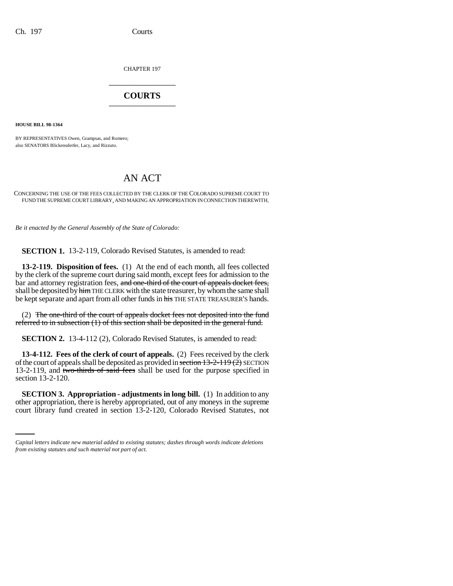CHAPTER 197 \_\_\_\_\_\_\_\_\_\_\_\_\_\_\_

## **COURTS** \_\_\_\_\_\_\_\_\_\_\_\_\_\_\_

**HOUSE BILL 98-1364**

BY REPRESENTATIVES Owen, Grampsas, and Romero; also SENATORS Blickensderfer, Lacy, and Rizzuto.

## AN ACT

CONCERNING THE USE OF THE FEES COLLECTED BY THE CLERK OF THE COLORADO SUPREME COURT TO FUND THE SUPREME COURT LIBRARY, AND MAKING AN APPROPRIATION IN CONNECTION THEREWITH.

*Be it enacted by the General Assembly of the State of Colorado:*

**SECTION 1.** 13-2-119, Colorado Revised Statutes, is amended to read:

**13-2-119. Disposition of fees.** (1) At the end of each month, all fees collected by the clerk of the supreme court during said month, except fees for admission to the bar and attorney registration fees, and one-third of the court of appeals docket fees, shall be deposited by him THE CLERK with the state treasurer, by whom the same shall be kept separate and apart from all other funds in his THE STATE TREASURER'S hands.

(2) The one-third of the court of appeals docket fees not deposited into the fund referred to in subsection (1) of this section shall be deposited in the general fund.

**SECTION 2.** 13-4-112 (2), Colorado Revised Statutes, is amended to read:

**13-4-112. Fees of the clerk of court of appeals.** (2) Fees received by the clerk of the court of appeals shall be deposited as provided in section  $13-2-119(2)$  SECTION 13-2-119, and two-thirds of said fees shall be used for the purpose specified in section 13-2-120.

 **SECTION 3. Appropriation - adjustments in long bill.** (1) In addition to any other appropriation, there is hereby appropriated, out of any moneys in the supreme court library fund created in section 13-2-120, Colorado Revised Statutes, not

*Capital letters indicate new material added to existing statutes; dashes through words indicate deletions from existing statutes and such material not part of act.*